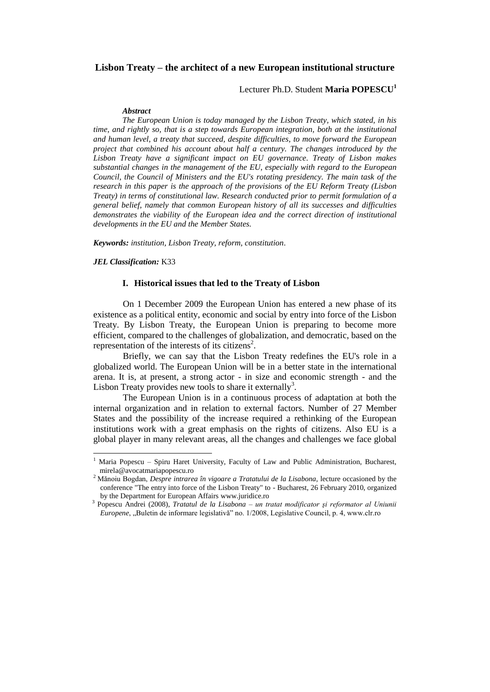# **Lisbon Treaty – the architect of a new European institutional structure**

Lecturer Ph.D. Student **Maria POPESCU<sup>1</sup>**

#### *Abstract*

*The European Union is today managed by the Lisbon Treaty, which stated, in his time, and rightly so, that is a step towards European integration, both at the institutional and human level, a treaty that succeed, despite difficulties, to move forward the European project that combined his account about half a century. The changes introduced by the Lisbon Treaty have a significant impact on EU governance. Treaty of Lisbon makes substantial changes in the management of the EU, especially with regard to the European Council, the Council of Ministers and the EU's rotating presidency. The main task of the research in this paper is the approach of the provisions of the EU Reform Treaty (Lisbon Treaty) in terms of constitutional law. Research conducted prior to permit formulation of a general belief, namely that common European history of all its successes and difficulties demonstrates the viability of the European idea and the correct direction of institutional developments in the EU and the Member States.*

*Keywords: institution, Lisbon Treaty, reform, constitution.*

*JEL Classification:* K33

 $\overline{\phantom{a}}$ 

### **I. Historical issues that led to the Treaty of Lisbon**

On 1 December 2009 the European Union has entered a new phase of its existence as a political entity, economic and social by entry into force of the Lisbon Treaty. By Lisbon Treaty, the European Union is preparing to become more efficient, compared to the challenges of globalization, and democratic, based on the representation of the interests of its citizens<sup>2</sup>.

Briefly, we can say that the Lisbon Treaty redefines the EU's role in a globalized world. The European Union will be in a better state in the international arena. It is, at present, a strong actor - in size and economic strength - and the Lisbon Treaty provides new tools to share it externally<sup>3</sup>.

The European Union is in a continuous process of adaptation at both the internal organization and in relation to external factors. Number of 27 Member States and the possibility of the increase required a rethinking of the European institutions work with a great emphasis on the rights of citizens. Also EU is a global player in many relevant areas, all the changes and challenges we face global

<sup>1</sup> Maria Popescu – Spiru Haret University, Faculty of Law and Public Administration, Bucharest, mirela@avocatmariapopescu.ro

<sup>2</sup> Mănoiu Bogdan, *Despre intrarea în vigoare a Tratatului de la Lisabona*, lecture occasioned by the conference "The entry into force of the Lisbon Treaty" to - Bucharest, 26 February 2010, organized by the Department for European Affairs [www.juridice.ro](http://www.juridice.ro/)

<sup>3</sup> Popescu Andrei (2008), *Tratatul de la Lisabona – un tratat modificator şi reformator al Uniunii Europene*, "Buletin de informare legislativă" no. 1/2008, Legislative Council, p. 4, www.clr.ro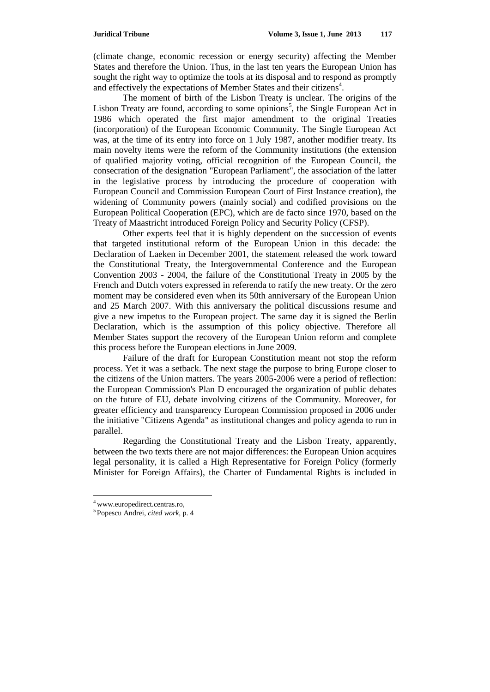(climate change, economic recession or energy security) affecting the Member States and therefore the Union. Thus, in the last ten years the European Union has sought the right way to optimize the tools at its disposal and to respond as promptly and effectively the expectations of Member States and their citizens<sup>4</sup>.

The moment of birth of the Lisbon Treaty is unclear. The origins of the Lisbon Treaty are found, according to some opinions<sup>5</sup>, the Single European Act in 1986 which operated the first major amendment to the original Treaties (incorporation) of the European Economic Community. The Single European Act was, at the time of its entry into force on 1 July 1987, another modifier treaty. Its main novelty items were the reform of the Community institutions (the extension of qualified majority voting, official recognition of the European Council, the consecration of the designation "European Parliament", the association of the latter in the legislative process by introducing the procedure of cooperation with European Council and Commission European Court of First Instance creation), the widening of Community powers (mainly social) and codified provisions on the European Political Cooperation (EPC), which are de facto since 1970, based on the Treaty of Maastricht introduced Foreign Policy and Security Policy (CFSP).

Other experts feel that it is highly dependent on the succession of events that targeted institutional reform of the European Union in this decade: the Declaration of Laeken in December 2001, the statement released the work toward the Constitutional Treaty, the Intergovernmental Conference and the European Convention 2003 - 2004, the failure of the Constitutional Treaty in 2005 by the French and Dutch voters expressed in referenda to ratify the new treaty. Or the zero moment may be considered even when its 50th anniversary of the European Union and 25 March 2007. With this anniversary the political discussions resume and give a new impetus to the European project. The same day it is signed the Berlin Declaration, which is the assumption of this policy objective. Therefore all Member States support the recovery of the European Union reform and complete this process before the European elections in June 2009.

Failure of the draft for European Constitution meant not stop the reform process. Yet it was a setback. The next stage the purpose to bring Europe closer to the citizens of the Union matters. The years 2005-2006 were a period of reflection: the European Commission's Plan D encouraged the organization of public debates on the future of EU, debate involving citizens of the Community. Moreover, for greater efficiency and transparency European Commission proposed in 2006 under the initiative "Citizens Agenda" as institutional changes and policy agenda to run in parallel.

Regarding the Constitutional Treaty and the Lisbon Treaty, apparently, between the two texts there are not major differences: the European Union acquires legal personality, it is called a High Representative for Foreign Policy (formerly Minister for Foreign Affairs), the Charter of Fundamental Rights is included in

<sup>4</sup> www.europedirect.centras.ro,

<sup>5</sup> Popescu Andrei, *cited work*, p. 4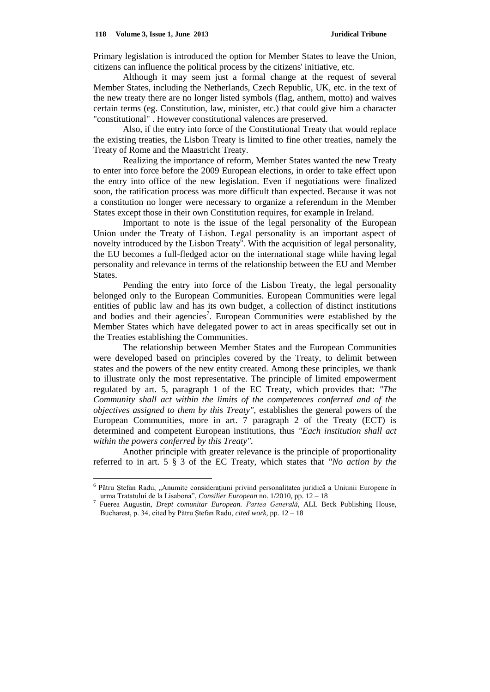$\overline{\phantom{a}}$ 

Primary legislation is introduced the option for Member States to leave the Union, citizens can influence the political process by the citizens' initiative, etc.

Although it may seem just a formal change at the request of several Member States, including the Netherlands, Czech Republic, UK, etc. in the text of the new treaty there are no longer listed symbols (flag, anthem, motto) and waives certain terms (eg. Constitution, law, minister, etc.) that could give him a character "constitutional" . However constitutional valences are preserved.

Also, if the entry into force of the Constitutional Treaty that would replace the existing treaties, the Lisbon Treaty is limited to fine other treaties, namely the Treaty of Rome and the Maastricht Treaty.

Realizing the importance of reform, Member States wanted the new Treaty to enter into force before the 2009 European elections, in order to take effect upon the entry into office of the new legislation. Even if negotiations were finalized soon, the ratification process was more difficult than expected. Because it was not a constitution no longer were necessary to organize a referendum in the Member States except those in their own Constitution requires, for example in Ireland.

Important to note is the issue of the legal personality of the European Union under the Treaty of Lisbon. Legal personality is an important aspect of novelty introduced by the Lisbon Treaty<sup> $\bar{6}$ </sup>. With the acquisition of legal personality, the EU becomes a full-fledged actor on the international stage while having legal personality and relevance in terms of the relationship between the EU and Member States.

Pending the entry into force of the Lisbon Treaty, the legal personality belonged only to the European Communities. European Communities were legal entities of public law and has its own budget, a collection of distinct institutions and bodies and their agencies<sup>7</sup>. European Communities were established by the Member States which have delegated power to act in areas specifically set out in the Treaties establishing the Communities.

The relationship between Member States and the European Communities were developed based on principles covered by the Treaty, to delimit between states and the powers of the new entity created. Among these principles, we thank to illustrate only the most representative. The principle of limited empowerment regulated by art. 5, paragraph 1 of the EC Treaty, which provides that: *"The Community shall act within the limits of the competences conferred and of the objectives assigned to them by this Treaty",* establishes the general powers of the European Communities, more in art. 7 paragraph 2 of the Treaty (ECT) is determined and competent European institutions, thus *"Each institution shall act within the powers conferred by this Treaty".*

Another principle with greater relevance is the principle of proportionality referred to in art. 5 § 3 of the EC Treaty, which states that *"No action by the* 

<sup>&</sup>lt;sup>6</sup> Pătru Ștefan Radu, "Anumite considerațiuni privind personalitatea juridică a Uniunii Europene în urma Tratatului de la Lisabona", *Consilier European* no. 1/2010, pp. 12 – 18

<sup>7</sup> Fuerea Augustin, *Drept comunitar European. Partea Generală*, ALL Beck Publishing House, Bucharest, p. 34, cited by Pătru Ştefan Radu, *cited work*, pp. 12 – 18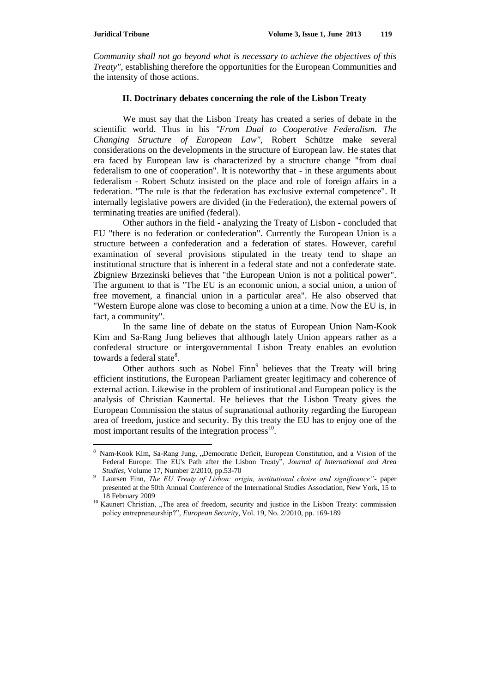$\overline{a}$ 

*Community shall not go beyond what is necessary to achieve the objectives of this Treaty"*, establishing therefore the opportunities for the European Communities and the intensity of those actions.

### **II. Doctrinary debates concerning the role of the Lisbon Treaty**

We must say that the Lisbon Treaty has created a series of debate in the scientific world. Thus in his *"From Dual to Cooperative Federalism. The Changing Structure of European Law"*, Robert Schütze make several considerations on the developments in the structure of European law. He states that era faced by European law is characterized by a structure change "from dual federalism to one of cooperation". It is noteworthy that - in these arguments about federalism - Robert Schutz insisted on the place and role of foreign affairs in a federation. "The rule is that the federation has exclusive external competence". If internally legislative powers are divided (in the Federation), the external powers of terminating treaties are unified (federal).

Other authors in the field - analyzing the Treaty of Lisbon - concluded that EU "there is no federation or confederation". Currently the European Union is a structure between a confederation and a federation of states. However, careful examination of several provisions stipulated in the treaty tend to shape an institutional structure that is inherent in a federal state and not a confederate state. Zbigniew Brzezinski believes that "the European Union is not a political power". The argument to that is "The EU is an economic union, a social union, a union of free movement, a financial union in a particular area". He also observed that "Western Europe alone was close to becoming a union at a time. Now the EU is, in fact, a community".

In the same line of debate on the status of European Union Nam-Kook Kim and Sa-Rang Jung believes that although lately Union appears rather as a confederal structure or intergovernmental Lisbon Treaty enables an evolution towards a federal state<sup>8</sup>.

Other authors such as Nobel Finn<sup>9</sup> believes that the Treaty will bring efficient institutions, the European Parliament greater legitimacy and coherence of external action. Likewise in the problem of institutional and European policy is the analysis of Christian Kaunertal. He believes that the Lisbon Treaty gives the European Commission the status of supranational authority regarding the European area of freedom, justice and security. By this treaty the EU has to enjoy one of the most important results of the integration process $^{10}$ .

Nam-Kook Kim, Sa-Rang Jung, "Democratic Deficit, European Constitution, and a Vision of the Federal Europe: The EU's Path after the Lisbon Treaty", *Journal of International and Area Studies*, Volume 17, Number 2/2010, pp.53-70

<sup>9</sup> Laursen Finn, *The EU Treaty of Lisbon: origin, institutional choise and significance"-* paper presented at the 50th Annual Conference of the International Studies Association, New York, 15 to 18 February 2009

<sup>&</sup>lt;sup>10</sup> Kaunert Christian, "The area of freedom, security and justice in the Lisbon Treaty: commission policy entrepreneurship?", *European Security*, Vol. 19, No. 2/2010, pp. 169-189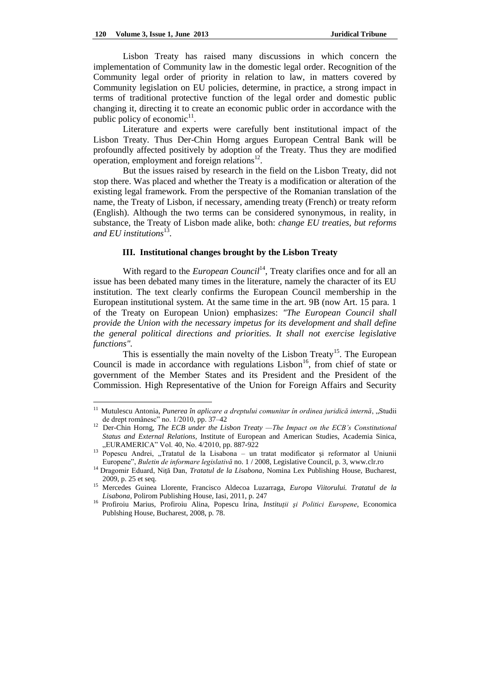$\overline{a}$ 

Lisbon Treaty has raised many discussions in which concern the implementation of Community law in the domestic legal order. Recognition of the Community legal order of priority in relation to law, in matters covered by Community legislation on EU policies, determine, in practice, a strong impact in terms of traditional protective function of the legal order and domestic public changing it, directing it to create an economic public order in accordance with the public policy of economic $11$ .

Literature and experts were carefully bent institutional impact of the Lisbon Treaty. Thus Der-Chin Horng argues European Central Bank will be profoundly affected positively by adoption of the Treaty. Thus they are modified operation, employment and foreign relations $^{12}$ .

But the issues raised by research in the field on the Lisbon Treaty, did not stop there. Was placed and whether the Treaty is a modification or alteration of the existing legal framework. From the perspective of the Romanian translation of the name, the Treaty of Lisbon, if necessary, amending treaty (French) or treaty reform (English). Although the two terms can be considered synonymous, in reality, in substance, the Treaty of Lisbon made alike, both: *change EU treaties, but reforms*  and EU institutions<sup>13</sup>.

# **III. Institutional changes brought by the Lisbon Treaty**

With regard to the *European Council*<sup>14</sup>, Treaty clarifies once and for all an issue has been debated many times in the literature, namely the character of its EU institution. The text clearly confirms the European Council membership in the European institutional system. At the same time in the art. 9B (now Art. 15 para. 1 of the Treaty on European Union) emphasizes: *"The European Council shall provide the Union with the necessary impetus for its development and shall define the general political directions and priorities. It shall not exercise legislative functions".*

This is essentially the main novelty of the Lisbon Treaty<sup>15</sup>. The European Council is made in accordance with regulations  $Lisbon<sup>16</sup>$ , from chief of state or government of the Member States and its President and the President of the Commission. High Representative of the Union for Foreign Affairs and Security

<sup>&</sup>lt;sup>11</sup> Mutulescu Antonia, *Punerea în aplicare a dreptului comunitar în ordinea juridică internă*, "Studii de drept românesc" no. 1/2010, pp. 37–42

<sup>&</sup>lt;sup>12</sup> Der-Chin Horng, *The ECB under the Lisbon Treaty —The Impact on the ECB's Constitutional Status and External Relations,* Institute of European and American Studies, Academia Sinica, "EURAMERICA" Vol. 40, No. 4/2010, pp. 887-922

<sup>&</sup>lt;sup>13</sup> Popescu Andrei, "Tratatul de la Lisabona – un tratat modificator și reformator al Uniunii Europene", *Buletin de informare legislativă* no. 1 / 2008, Legislative Council, p. 3, www.clr.ro

<sup>&</sup>lt;sup>14</sup> Dragomir Eduard, Niță Dan, *Tratatul de la Lisabona*, Nomina Lex Publishing House, Bucharest, 2009, p. 25 et seq.

<sup>15</sup> Mercedes Guinea Llorente, Francisco Aldecoa Luzarraga, *Europa Viitorului. Tratatul de la Lisabona*, Polirom Publishing House, Iasi, 2011, p. 247

<sup>16</sup> Profiroiu Marius, Profiroiu Alina, Popescu Irina, *Instituţii şi Politici Europene*, Economica Publshing House, Bucharest, 2008, p. 78.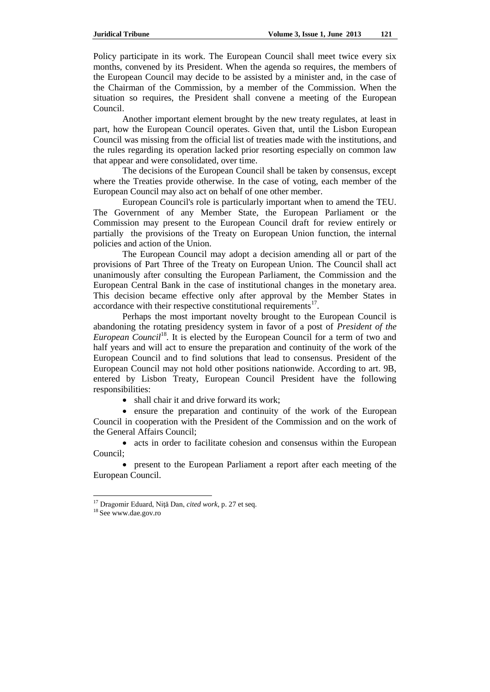Policy participate in its work. The European Council shall meet twice every six months, convened by its President. When the agenda so requires, the members of the European Council may decide to be assisted by a minister and, in the case of the Chairman of the Commission, by a member of the Commission. When the situation so requires, the President shall convene a meeting of the European Council.

Another important element brought by the new treaty regulates, at least in part, how the European Council operates. Given that, until the Lisbon European Council was missing from the official list of treaties made with the institutions, and the rules regarding its operation lacked prior resorting especially on common law that appear and were consolidated, over time.

The decisions of the European Council shall be taken by consensus, except where the Treaties provide otherwise. In the case of voting, each member of the European Council may also act on behalf of one other member.

European Council's role is particularly important when to amend the TEU. The Government of any Member State, the European Parliament or the Commission may present to the European Council draft for review entirely or partially the provisions of the Treaty on European Union function, the internal policies and action of the Union.

The European Council may adopt a decision amending all or part of the provisions of Part Three of the Treaty on European Union. The Council shall act unanimously after consulting the European Parliament, the Commission and the European Central Bank in the case of institutional changes in the monetary area. This decision became effective only after approval by the Member States in accordance with their respective constitutional requirements $17$ .

Perhaps the most important novelty brought to the European Council is abandoning the rotating presidency system in favor of a post of *President of the*  European Council<sup>18</sup>. It is elected by the European Council for a term of two and half years and will act to ensure the preparation and continuity of the work of the European Council and to find solutions that lead to consensus. President of the European Council may not hold other positions nationwide. According to art. 9B, entered by Lisbon Treaty, European Council President have the following responsibilities:

• shall chair it and drive forward its work;

 ensure the preparation and continuity of the work of the European Council in cooperation with the President of the Commission and on the work of the General Affairs Council;

• acts in order to facilitate cohesion and consensus within the European Council;

 present to the European Parliament a report after each meeting of the European Council.

<sup>17</sup> Dragomir Eduard, Niţă Dan, *cited work*, p. 27 et seq.

<sup>18</sup> See www.dae.gov.ro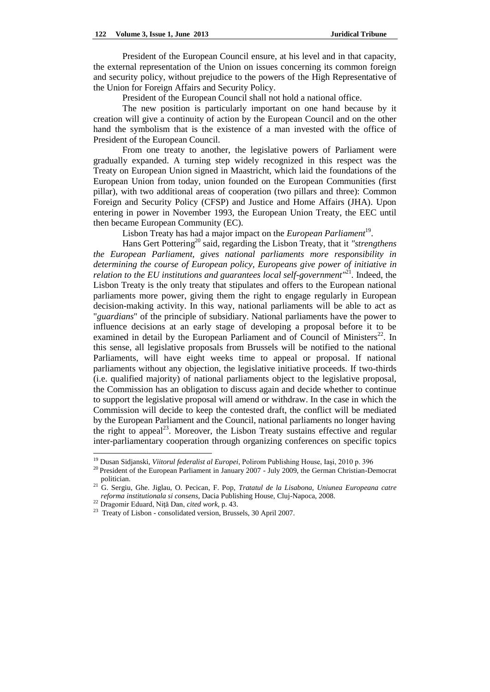President of the European Council ensure, at his level and in that capacity, the external representation of the Union on issues concerning its common foreign and security policy, without prejudice to the powers of the High Representative of the Union for Foreign Affairs and Security Policy.

President of the European Council shall not hold a national office.

The new position is particularly important on one hand because by it creation will give a continuity of action by the European Council and on the other hand the symbolism that is the existence of a man invested with the office of President of the European Council.

From one treaty to another, the legislative powers of Parliament were gradually expanded. A turning step widely recognized in this respect was the Treaty on European Union signed in Maastricht, which laid the foundations of the European Union from today, union founded on the European Communities (first pillar), with two additional areas of cooperation (two pillars and three): Common Foreign and Security Policy (CFSP) and Justice and Home Affairs (JHA). Upon entering in power in November 1993, the European Union Treaty, the EEC until then became European Community (EC).

Lisbon Treaty has had a major impact on the *European Parliament*<sup>19</sup>.

Hans Gert Pottering <sup>20</sup> said, regarding the Lisbon Treaty, that it *"strengthens the European Parliament, gives national parliaments more responsibility in determining the course of European policy, Europeans give power of initiative in relation to the EU institutions and guarantees local self-government"*<sup>21</sup>. Indeed, the Lisbon Treaty is the only treaty that stipulates and offers to the European national parliaments more power, giving them the right to engage regularly in European decision-making activity. In this way, national parliaments will be able to act as "*guardians*" of the principle of subsidiary. National parliaments have the power to influence decisions at an early stage of developing a proposal before it to be examined in detail by the European Parliament and of Council of Ministers<sup>22</sup>. In this sense, all legislative proposals from Brussels will be notified to the national Parliaments, will have eight weeks time to appeal or proposal. If national parliaments without any objection, the legislative initiative proceeds. If two-thirds (i.e. qualified majority) of national parliaments object to the legislative proposal, the Commission has an obligation to discuss again and decide whether to continue to support the legislative proposal will amend or withdraw. In the case in which the Commission will decide to keep the contested draft, the conflict will be mediated by the European Parliament and the Council, national parliaments no longer having the right to appeal<sup>23</sup>. Moreover, the Lisbon Treaty sustains effective and regular inter-parliamentary cooperation through organizing conferences on specific topics

<sup>19</sup> Dusan Sidjanski, *Viitorul federalist al Europei*, Polirom Publishing House, Iaşi, 2010 p. 396

<sup>&</sup>lt;sup>20</sup> President of the European Parliament in January 2007 - July 2009, the German Christian-Democrat politician.

<sup>21</sup> G. Sergiu, Ghe. Jiglau, O. Pecican, F. Pop, *Tratatul de la Lisabona, Uniunea Europeana catre reforma institutionala si consens*, Dacia Publishing House, Cluj-Napoca, 2008.

<sup>22</sup> Dragomir Eduard, Niţă Dan, *cited work*, p. 43.

<sup>&</sup>lt;sup>23</sup> Treaty of Lisbon - consolidated version, Brussels, 30 April 2007.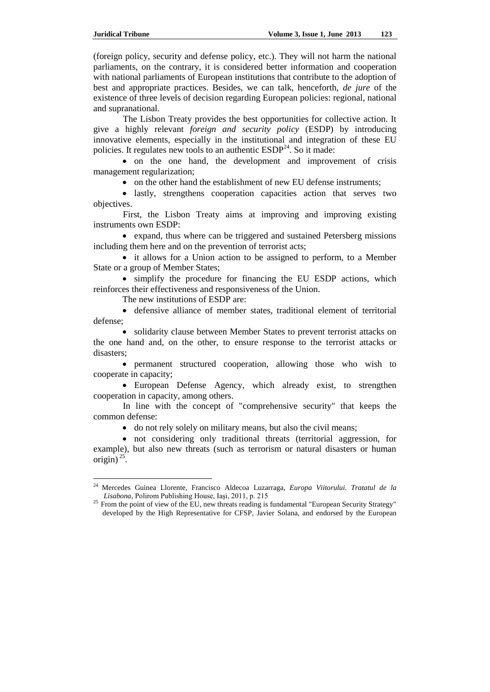$\overline{\phantom{a}}$ 

(foreign policy, security and defense policy, etc.). They will not harm the national parliaments, on the contrary, it is considered better information and cooperation with national parliaments of European institutions that contribute to the adoption of best and appropriate practices. Besides, we can talk, henceforth, *de jure* of the existence of three levels of decision regarding European policies: regional, national and supranational.

The Lisbon Treaty provides the best opportunities for collective action. It give a highly relevant *foreign and security policy* (ESDP) by introducing innovative elements, especially in the institutional and integration of these EU policies. It regulates new tools to an authentic  $\text{ESDP}^{24}$ . So it made:

 on the one hand, the development and improvement of crisis management regularization;

• on the other hand the establishment of new EU defense instruments;

 lastly, strengthens cooperation capacities action that serves two objectives.

First, the Lisbon Treaty aims at improving and improving existing instruments own ESDP:

 expand, thus where can be triggered and sustained Petersberg missions including them here and on the prevention of terrorist acts;

• it allows for a Union action to be assigned to perform, to a Member State or a group of Member States;

 simplify the procedure for financing the EU ESDP actions, which reinforces their effectiveness and responsiveness of the Union.

The new institutions of ESDP are:

 defensive alliance of member states, traditional element of territorial defense;

• solidarity clause between Member States to prevent terrorist attacks on the one hand and, on the other, to ensure response to the terrorist attacks or disasters;

 permanent structured cooperation, allowing those who wish to cooperate in capacity;

• European Defense Agency, which already exist, to strengthen cooperation in capacity, among others.

In line with the concept of "comprehensive security" that keeps the common defense:

do not rely solely on military means, but also the civil means;

 not considering only traditional threats (territorial aggression, for example), but also new threats (such as terrorism or natural disasters or human origin)<sup>25</sup>.

<sup>24</sup> Mercedes Guinea Llorente, Francisco Aldecoa Luzarraga, *Europa Viitorului. Tratatul de la Lisabona*, Polirom Publishing House, Iaşi, 2011, p. 215

<sup>&</sup>lt;sup>25</sup> From the point of view of the EU, new threats reading is fundamental "European Security Strategy" developed by the High Representative for CFSP, Javier Solana, and endorsed by the European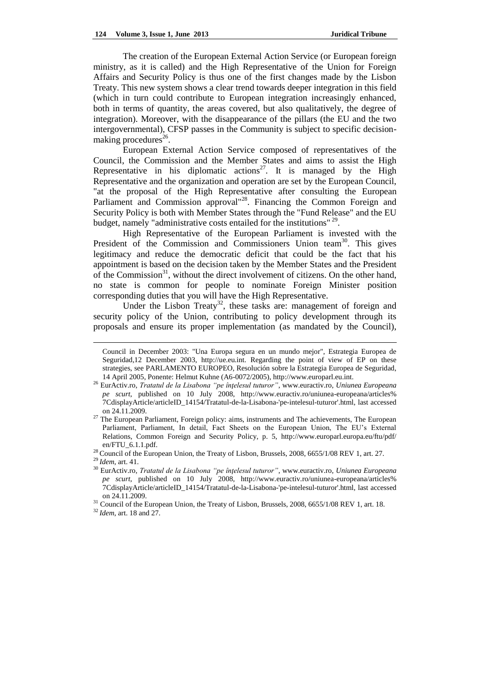The creation of the European External Action Service (or European foreign ministry, as it is called) and the High Representative of the Union for Foreign Affairs and Security Policy is thus one of the first changes made by the Lisbon Treaty. This new system shows a clear trend towards deeper integration in this field (which in turn could contribute to European integration increasingly enhanced, both in terms of quantity, the areas covered, but also qualitatively, the degree of integration). Moreover, with the disappearance of the pillars (the EU and the two intergovernmental), CFSP passes in the Community is subject to specific decisionmaking procedures<sup>26</sup>.

European External Action Service composed of representatives of the Council, the Commission and the Member States and aims to assist the High Representative in his diplomatic actions<sup>27</sup>. It is managed by the High Representative and the organization and operation are set by the European Council, "at the proposal of the High Representative after consulting the European Parliament and Commission approval"<sup>28</sup>. Financing the Common Foreign and Security Policy is both with Member States through the "Fund Release" and the EU budget, namely "administrative costs entailed for the institutions"<sup>29</sup>.

High Representative of the European Parliament is invested with the President of the Commission and Commissioners Union team<sup>30</sup>. This gives legitimacy and reduce the democratic deficit that could be the fact that his appointment is based on the decision taken by the Member States and the President of the Commission $31$ , without the direct involvement of citizens. On the other hand, no state is common for people to nominate Foreign Minister position corresponding duties that you will have the High Representative.

Under the Lisbon Treaty<sup>32</sup>, these tasks are: management of foreign and security policy of the Union, contributing to policy development through its proposals and ensure its proper implementation (as mandated by the Council),

Council in December 2003: "Una Europa segura en un mundo mejor", Estrategia Europea de Seguridad,12 December 2003, [http://ue.eu.int.](http://ue.eu.int/) Regarding the point of view of EP on these strategies, see PARLAMENTO EUROPEO, Resolución sobre la Estrategia Europea de Seguridad, 14 April 2005, Ponente: Helmut Kuhne (A6-0072/2005), [http://www.europarl.eu.int.](http://www.europarl.eu.int/)

<sup>26</sup> EurActiv.ro, *Tratatul de la Lisabona "pe înţelesul tuturor"*, www.euractiv.ro, *Uniunea Europeana pe scurt*, published on 10 July 2008, http://www.euractiv.ro/uniunea-europeana/articles% 7CdisplayArticle/articleID\_14154/Tratatul-de-la-Lisabona-'pe-intelesul-tuturor'.html, last accessed on 24.11.2009.

<sup>&</sup>lt;sup>27</sup> The European Parliament, Foreign policy: aims, instruments and The achievements, The European Parliament, Parliament, In detail, Fact Sheets on the European Union, The EU's External Relations, Common Foreign and Security Policy, p. 5, http://www.europarl.europa.eu/ftu/pdf/ en/FTU\_6.1.1.pdf.

<sup>&</sup>lt;sup>28</sup> Council of the European Union, the Treaty of Lisbon, Brussels, 2008, 6655/1/08 REV 1, art. 27.

<sup>29</sup> *Idem*, art. 41.

<sup>30</sup> EurActiv.ro, *Tratatul de la Lisabona "pe înţelesul tuturor"*, www.euractiv.ro, *Uniunea Europeana pe scurt*, published on 10 July 2008, http://www.euractiv.ro/uniunea-europeana/articles% 7CdisplayArticle/articleID\_14154/Tratatul-de-la-Lisabona-'pe-intelesul-tuturor'.html, last accessed on 24.11.2009.

<sup>&</sup>lt;sup>31</sup> Council of the European Union, the Treaty of Lisbon, Brussels, 2008, 6655/1/08 REV 1, art. 18.

<sup>32</sup> *Idem*, art. 18 and 27.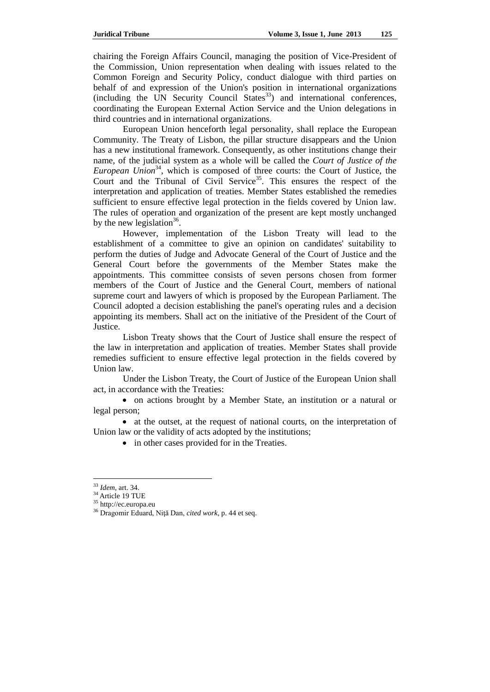chairing the Foreign Affairs Council, managing the position of Vice-President of the Commission, Union representation when dealing with issues related to the Common Foreign and Security Policy, conduct dialogue with third parties on behalf of and expression of the Union's position in international organizations  $(including the UN Security Council States<sup>33</sup>)$  and international conferences, coordinating the European External Action Service and the Union delegations in third countries and in international organizations.

European Union henceforth legal personality, shall replace the European Community. The Treaty of Lisbon, the pillar structure disappears and the Union has a new institutional framework. Consequently, as other institutions change their name, of the judicial system as a whole will be called the *Court of Justice of the European Union*<sup>34</sup>, which is composed of three courts: the Court of Justice, the Court and the Tribunal of Civil Service<sup>35</sup>. This ensures the respect of the interpretation and application of treaties. Member States established the remedies sufficient to ensure effective legal protection in the fields covered by Union law. The rules of operation and organization of the present are kept mostly unchanged by the new legislation<sup>36</sup>.

However, implementation of the Lisbon Treaty will lead to the establishment of a committee to give an opinion on candidates' suitability to perform the duties of Judge and Advocate General of the Court of Justice and the General Court before the governments of the Member States make the appointments. This committee consists of seven persons chosen from former members of the Court of Justice and the General Court, members of national supreme court and lawyers of which is proposed by the European Parliament. The Council adopted a decision establishing the panel's operating rules and a decision appointing its members. Shall act on the initiative of the President of the Court of Justice.

Lisbon Treaty shows that the Court of Justice shall ensure the respect of the law in interpretation and application of treaties. Member States shall provide remedies sufficient to ensure effective legal protection in the fields covered by Union law.

Under the Lisbon Treaty, the Court of Justice of the European Union shall act, in accordance with the Treaties:

 on actions brought by a Member State, an institution or a natural or legal person;

 at the outset, at the request of national courts, on the interpretation of Union law or the validity of acts adopted by the institutions;

• in other cases provided for in the Treaties.

<sup>33</sup> *Idem*, art. 34.

<sup>34</sup> Article 19 TUE

<sup>35</sup> http://ec.europa.eu

<sup>36</sup> Dragomir Eduard, Niţă Dan, *cited work*, p. 44 et seq.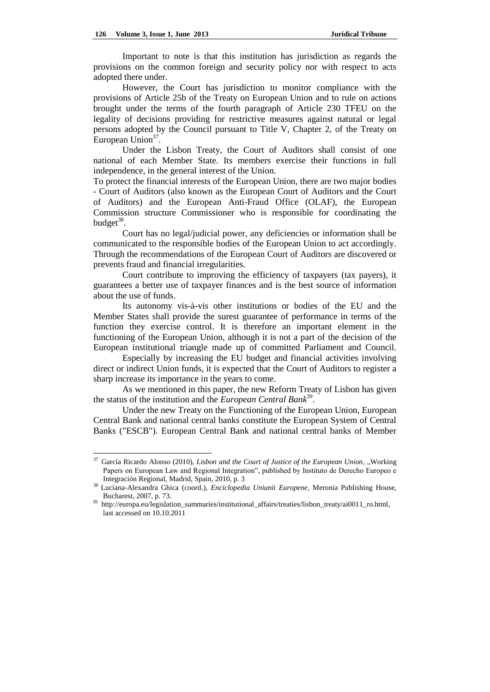Important to note is that this institution has jurisdiction as regards the provisions on the common foreign and security policy nor with respect to acts adopted there under.

However, the Court has jurisdiction to monitor compliance with the provisions of Article 25b of the Treaty on European Union and to rule on actions brought under the terms of the fourth paragraph of Article 230 TFEU on the legality of decisions providing for restrictive measures against natural or legal persons adopted by the Council pursuant to Title V, Chapter 2, of the Treaty on European  $\overline{Union}^{37}$ .

Under the Lisbon Treaty, the Court of Auditors shall consist of one national of each Member State. Its members exercise their functions in full independence, in the general interest of the Union.

To protect the financial interests of the European Union, there are two major bodies - Court of Auditors (also known as the European Court of Auditors and the Court of Auditors) and the European Anti-Fraud Office (OLAF), the European Commission structure Commissioner who is responsible for coordinating the budget<sup>38</sup>.

Court has no legal/judicial power, any deficiencies or information shall be communicated to the responsible bodies of the European Union to act accordingly. Through the recommendations of the European Court of Auditors are discovered or prevents fraud and financial irregularities.

Court contribute to improving the efficiency of taxpayers (tax payers), it guarantees a better use of taxpayer finances and is the best source of information about the use of funds.

Its autonomy vis-à-vis other institutions or bodies of the EU and the Member States shall provide the surest guarantee of performance in terms of the function they exercise control. It is therefore an important element in the functioning of the European Union, although it is not a part of the decision of the European institutional triangle made up of committed Parliament and Council.

Especially by increasing the EU budget and financial activities involving direct or indirect Union funds, it is expected that the Court of Auditors to register a sharp increase its importance in the years to come.

As we mentioned in this paper, the new Reform Treaty of Lisbon has given the status of the institution and the *European Central Bank*<sup>39</sup>.

Under the new Treaty on the Functioning of the European Union, European Central Bank and national central banks constitute the European System of Central Banks ("ESCB"). European Central Bank and national central banks of Member

 $37\,$ García Ricardo Alonso (2010), *Lisbon and the Court of Justice of the European Union*, "Working Papers on European Law and Regional Integration", published by Instituto de Derecho Europeo e Integración Regional, Madrid, Spain, 2010, p. 3

<sup>38</sup> Luciana-Alexandra Ghica (coord.), *Enciclopedia Uniunii Europene*, Meronia Publishing House, Bucharest, 2007, p. 73.

<sup>39</sup> http://europa.eu/legislation\_summaries/institutional\_affairs/treaties/lisbon\_treaty/ai0011\_ro.html, last accessed on 10.10.2011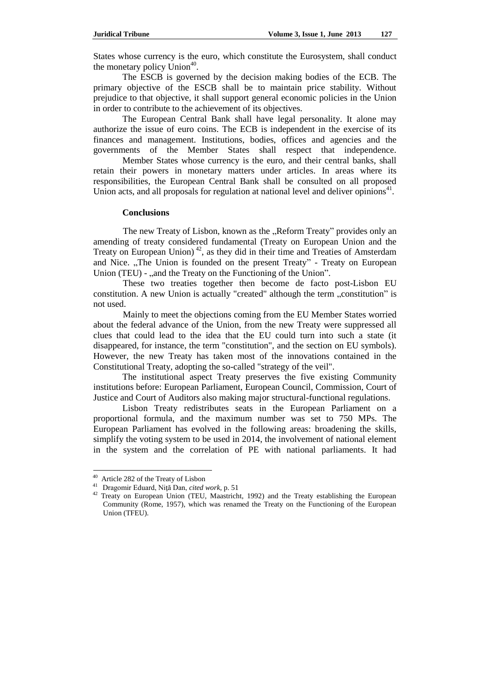States whose currency is the euro, which constitute the Eurosystem, shall conduct the monetary policy  $\text{Union}^{40}$ .

The ESCB is governed by the decision making bodies of the ECB. The primary objective of the ESCB shall be to maintain price stability. Without prejudice to that objective, it shall support general economic policies in the Union in order to contribute to the achievement of its objectives.

The European Central Bank shall have legal personality. It alone may authorize the issue of euro coins. The ECB is independent in the exercise of its finances and management. Institutions, bodies, offices and agencies and the governments of the Member States shall respect that independence.

Member States whose currency is the euro, and their central banks, shall retain their powers in monetary matters under articles. In areas where its responsibilities, the European Central Bank shall be consulted on all proposed Union acts, and all proposals for regulation at national level and deliver opinions $41$ .

# **Conclusions**

The new Treaty of Lisbon, known as the "Reform Treaty" provides only an amending of treaty considered fundamental (Treaty on European Union and the Treaty on European Union)<sup>42</sup>, as they did in their time and Treaties of Amsterdam and Nice. "The Union is founded on the present Treaty" - Treaty on European Union (TEU) - , and the Treaty on the Functioning of the Union".

These two treaties together then become de facto post-Lisbon EU constitution. A new Union is actually "created" although the term "constitution" is not used.

Mainly to meet the objections coming from the EU Member States worried about the federal advance of the Union, from the new Treaty were suppressed all clues that could lead to the idea that the EU could turn into such a state (it disappeared, for instance, the term "constitution", and the section on EU symbols). However, the new Treaty has taken most of the innovations contained in the Constitutional Treaty, adopting the so-called "strategy of the veil".

The institutional aspect Treaty preserves the five existing Community institutions before: European Parliament, European Council, Commission, Court of Justice and Court of Auditors also making major structural-functional regulations.

Lisbon Treaty redistributes seats in the European Parliament on a proportional formula, and the maximum number was set to 750 MPs. The European Parliament has evolved in the following areas: broadening the skills, simplify the voting system to be used in 2014, the involvement of national element in the system and the correlation of PE with national parliaments. It had

 $\overline{a}$ 

<sup>&</sup>lt;sup>40</sup> Article 282 of the Treaty of Lisbon

<sup>41</sup>Dragomir Eduard, Niţă Dan, *cited work*, p. 51

<sup>&</sup>lt;sup>42</sup> Treaty on European Union (TEU, Maastricht, 1992) and the Treaty establishing the European Community (Rome, 1957), which was renamed the Treaty on the Functioning of the European Union (TFEU).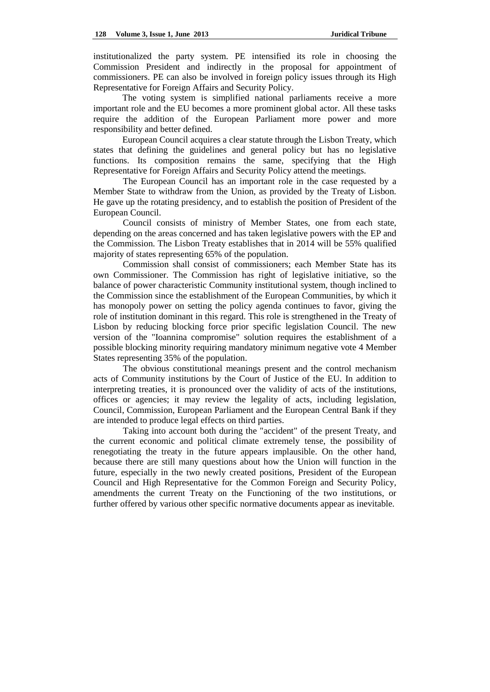institutionalized the party system. PE intensified its role in choosing the Commission President and indirectly in the proposal for appointment of commissioners. PE can also be involved in foreign policy issues through its High Representative for Foreign Affairs and Security Policy.

The voting system is simplified national parliaments receive a more important role and the EU becomes a more prominent global actor. All these tasks require the addition of the European Parliament more power and more responsibility and better defined.

European Council acquires a clear statute through the Lisbon Treaty, which states that defining the guidelines and general policy but has no legislative functions. Its composition remains the same, specifying that the High Representative for Foreign Affairs and Security Policy attend the meetings.

The European Council has an important role in the case requested by a Member State to withdraw from the Union, as provided by the Treaty of Lisbon. He gave up the rotating presidency, and to establish the position of President of the European Council.

Council consists of ministry of Member States, one from each state, depending on the areas concerned and has taken legislative powers with the EP and the Commission. The Lisbon Treaty establishes that in 2014 will be 55% qualified majority of states representing 65% of the population.

Commission shall consist of commissioners; each Member State has its own Commissioner. The Commission has right of legislative initiative, so the balance of power characteristic Community institutional system, though inclined to the Commission since the establishment of the European Communities, by which it has monopoly power on setting the policy agenda continues to favor, giving the role of institution dominant in this regard. This role is strengthened in the Treaty of Lisbon by reducing blocking force prior specific legislation Council. The new version of the "Ioannina compromise" solution requires the establishment of a possible blocking minority requiring mandatory minimum negative vote 4 Member States representing 35% of the population.

The obvious constitutional meanings present and the control mechanism acts of Community institutions by the Court of Justice of the EU. In addition to interpreting treaties, it is pronounced over the validity of acts of the institutions, offices or agencies; it may review the legality of acts, including legislation, Council, Commission, European Parliament and the European Central Bank if they are intended to produce legal effects on third parties.

Taking into account both during the "accident" of the present Treaty, and the current economic and political climate extremely tense, the possibility of renegotiating the treaty in the future appears implausible. On the other hand, because there are still many questions about how the Union will function in the future, especially in the two newly created positions, President of the European Council and High Representative for the Common Foreign and Security Policy, amendments the current Treaty on the Functioning of the two institutions, or further offered by various other specific normative documents appear as inevitable.